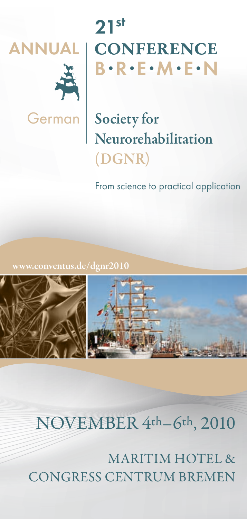



# **ANNUAL conference B•R•E•M•E•N 21st**

German | Society for Neurorehabilitation (DGNR)

From science to practical application

.conventus.de/dgnr2010



## november 4th–6th, 2010

maritim hotel & congress centrum bremen